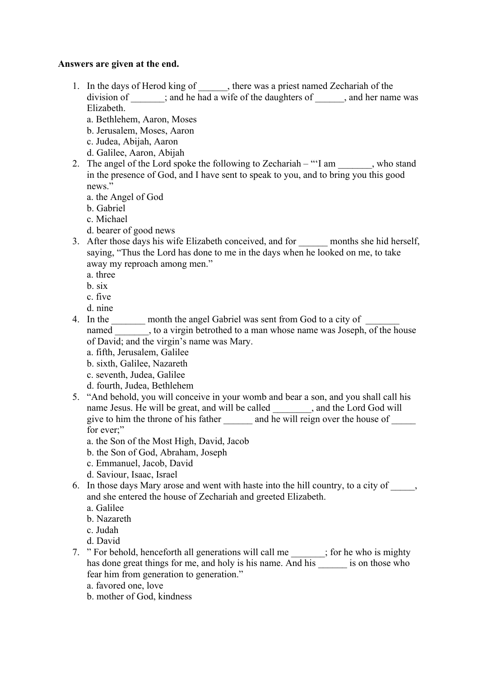## **Answers are given at the end.**

- 1. In the days of Herod king of , there was a priest named Zechariah of the division of  $\therefore$  and he had a wife of the daughters of , and her name was Elizabeth.
	- a. Bethlehem, Aaron, Moses
	- b. Jerusalem, Moses, Aaron
	- c. Judea, Abijah, Aaron
	- d. Galilee, Aaron, Abijah
- 2. The angel of the Lord spoke the following to Zechariah " $I$  am \_\_\_\_\_\_, who stand in the presence of God, and I have sent to speak to you, and to bring you this good news."
	- a. the Angel of God
	- b. Gabriel
	- c. Michael
	- d. bearer of good news
- 3. After those days his wife Elizabeth conceived, and for \_\_\_\_\_\_ months she hid herself, saying, "Thus the Lord has done to me in the days when he looked on me, to take away my reproach among men."
	- a. three
	- b. six
	- c. five
	- d. nine
- 4. In the \_\_\_\_\_\_\_ month the angel Gabriel was sent from God to a city of \_\_\_\_\_\_\_ named \_\_\_\_\_\_\_, to a virgin betrothed to a man whose name was Joseph, of the house of David; and the virgin's name was Mary.
	- a. fifth, Jerusalem, Galilee
	- b. sixth, Galilee, Nazareth
	- c. seventh, Judea, Galilee
	- d. fourth, Judea, Bethlehem
- 5. "And behold, you will conceive in your womb and bear a son, and you shall call his name Jesus. He will be great, and will be called \_\_\_\_\_\_\_\_, and the Lord God will give to him the throne of his father  $\qquad$  and he will reign over the house of for ever:"
	- a. the Son of the Most High, David, Jacob
	- b. the Son of God, Abraham, Joseph
	- c. Emmanuel, Jacob, David
	- d. Saviour, Isaac, Israel
- 6. In those days Mary arose and went with haste into the hill country, to a city of \_\_\_\_\_, and she entered the house of Zechariah and greeted Elizabeth.
	- a. Galilee
	- b. Nazareth
	- c. Judah
	- d. David
- 7. " For behold, henceforth all generations will call me \_\_\_\_\_\_\_; for he who is mighty has done great things for me, and holy is his name. And his \_\_\_\_\_\_\_ is on those who fear him from generation to generation."
	- a. favored one, love
	- b. mother of God, kindness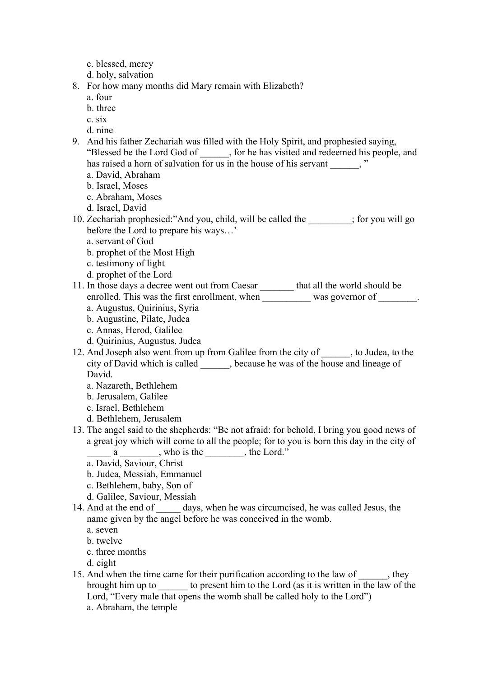- c. blessed, mercy
- d. holy, salvation
- 8. For how many months did Mary remain with Elizabeth?
	- a. four
	- b. three
	- c. six
	- d. nine
- 9. And his father Zechariah was filled with the Holy Spirit, and prophesied saying, "Blessed be the Lord God of \_\_\_\_\_\_, for he has visited and redeemed his people, and has raised a horn of salvation for us in the house of his servant  $\cdots$ 
	- a. David, Abraham
	- b. Israel, Moses
	- c. Abraham, Moses
	- d. Israel, David
- 10. Zechariah prophesied:"And you, child, will be called the \_\_\_\_\_\_\_\_\_; for you will go before the Lord to prepare his ways…'
	- a. servant of God
	- b. prophet of the Most High
	- c. testimony of light
	- d. prophet of the Lord

11. In those days a decree went out from Caesar \_\_\_\_\_\_\_ that all the world should be enrolled. This was the first enrollment, when was governor of \_\_\_\_\_\_\_.

- a. Augustus, Quirinius, Syria
- b. Augustine, Pilate, Judea
- c. Annas, Herod, Galilee
- d. Quirinius, Augustus, Judea
- 12. And Joseph also went from up from Galilee from the city of , to Judea, to the city of David which is called \_\_\_\_\_, because he was of the house and lineage of David.
	- a. Nazareth, Bethlehem
	- b. Jerusalem, Galilee
	- c. Israel, Bethlehem
	- d. Bethlehem, Jerusalem
- 13. The angel said to the shepherds: "Be not afraid: for behold, I bring you good news of a great joy which will come to all the people; for to you is born this day in the city of  $a \_$ , who is the  $\_$ , the Lord."
	- a. David, Saviour, Christ
	- b. Judea, Messiah, Emmanuel
	- c. Bethlehem, baby, Son of
	- d. Galilee, Saviour, Messiah
- 14. And at the end of days, when he was circumcised, he was called Jesus, the name given by the angel before he was conceived in the womb.
	- a. seven
	- b. twelve
	- c. three months
	- d. eight
- 15. And when the time came for their purification according to the law of \_\_\_\_\_, they brought him up to to present him to the Lord (as it is written in the law of the Lord, "Every male that opens the womb shall be called holy to the Lord") a. Abraham, the temple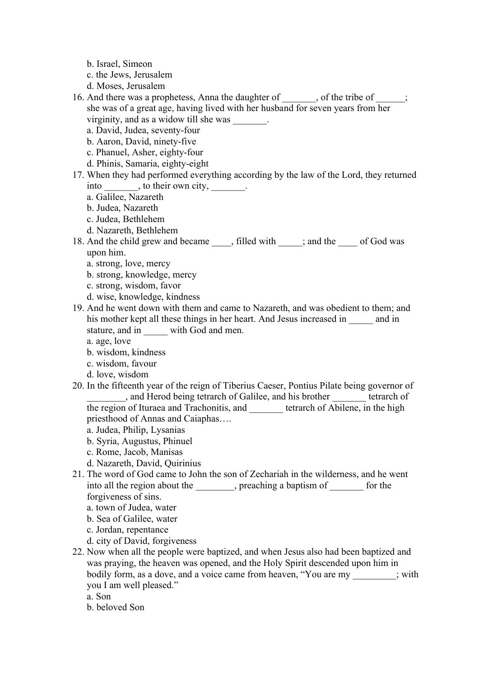- b. Israel, Simeon
- c. the Jews, Jerusalem
- d. Moses, Jerusalem
- 16. And there was a prophetess, Anna the daughter of , of the tribe of ; she was of a great age, having lived with her husband for seven years from her virginity, and as a widow till she was \_\_\_\_\_\_\_.
	- a. David, Judea, seventy-four
	- b. Aaron, David, ninety-five
	- c. Phanuel, Asher, eighty-four
	- d. Phinis, Samaria, eighty-eight
- 17. When they had performed everything according by the law of the Lord, they returned into \_\_\_\_\_\_\_, to their own city,
	- a. Galilee, Nazareth
	- b. Judea, Nazareth
	- c. Judea, Bethlehem
	- d. Nazareth, Bethlehem
- 18. And the child grew and became \_\_\_\_, filled with \_\_\_\_\_; and the \_\_\_\_\_ of God was upon him.
	- a. strong, love, mercy
	- b. strong, knowledge, mercy
	- c. strong, wisdom, favor
	- d. wise, knowledge, kindness
- 19. And he went down with them and came to Nazareth, and was obedient to them; and his mother kept all these things in her heart. And Jesus increased in and in stature, and in with God and men.
	- a. age, love
	- b. wisdom, kindness
	- c. wisdom, favour
	- d. love, wisdom
- 20. In the fifteenth year of the reign of Tiberius Caeser, Pontius Pilate being governor of \_\_\_\_\_\_\_\_, and Herod being tetrarch of Galilee, and his brother \_\_\_\_\_\_\_ tetrarch of the region of Ituraea and Trachonitis, and \_\_\_\_\_\_\_ tetrarch of Abilene, in the high priesthood of Annas and Caiaphas….
	- a. Judea, Philip, Lysanias
	- b. Syria, Augustus, Phinuel
	- c. Rome, Jacob, Manisas
	- d. Nazareth, David, Quirinius
- 21. The word of God came to John the son of Zechariah in the wilderness, and he went into all the region about the \_\_\_\_\_\_\_\_, preaching a baptism of \_\_\_\_\_\_\_ for the forgiveness of sins.
	- a. town of Judea, water
	- b. Sea of Galilee, water
	- c. Jordan, repentance
	- d. city of David, forgiveness
- 22. Now when all the people were baptized, and when Jesus also had been baptized and was praying, the heaven was opened, and the Holy Spirit descended upon him in bodily form, as a dove, and a voice came from heaven, "You are my \_\_\_\_\_\_\_\_\_; with you I am well pleased."
	- a. Son
	- b. beloved Son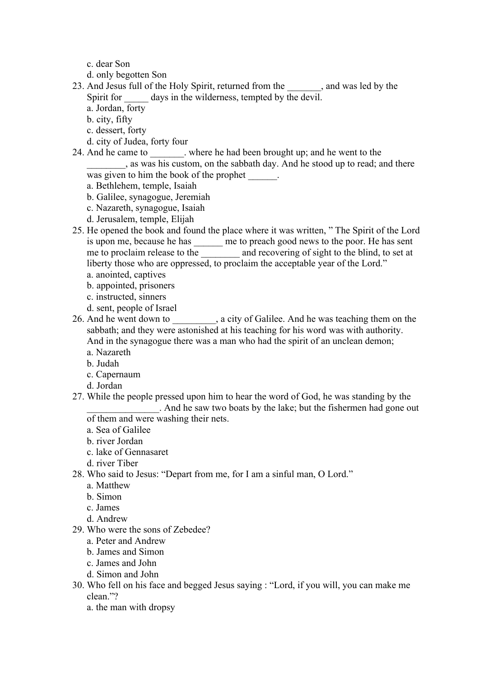- c. dear Son
- d. only begotten Son
- 23. And Jesus full of the Holy Spirit, returned from the \_\_\_\_\_\_\_, and was led by the Spirit for days in the wilderness, tempted by the devil.
	- a. Jordan, forty
	- b. city, fifty
	- c. dessert, forty
	- d. city of Judea, forty four

24. And he came to \_\_\_\_\_\_\_. where he had been brought up; and he went to the

\_\_\_\_\_\_\_\_, as was his custom, on the sabbath day. And he stood up to read; and there was given to him the book of the prophet  $\qquad$ .

- a. Bethlehem, temple, Isaiah
- b. Galilee, synagogue, Jeremiah
- c. Nazareth, synagogue, Isaiah
- d. Jerusalem, temple, Elijah
- 25. He opened the book and found the place where it was written, " The Spirit of the Lord is upon me, because he has \_\_\_\_\_\_ me to preach good news to the poor. He has sent me to proclaim release to the \_\_\_\_\_\_\_\_\_ and recovering of sight to the blind, to set at liberty those who are oppressed, to proclaim the acceptable year of the Lord."
	- a. anointed, captives
	- b. appointed, prisoners
	- c. instructed, sinners
	- d. sent, people of Israel
- 26. And he went down to \_\_\_\_\_\_\_\_\_, a city of Galilee. And he was teaching them on the sabbath; and they were astonished at his teaching for his word was with authority. And in the synagogue there was a man who had the spirit of an unclean demon;
	- a. Nazareth
	- b. Judah
	- c. Capernaum
	- d. Jordan
- 27. While the people pressed upon him to hear the word of God, he was standing by the

\_\_\_\_\_\_\_\_\_\_\_\_\_\_\_. And he saw two boats by the lake; but the fishermen had gone out of them and were washing their nets.

- a. Sea of Galilee
- b. river Jordan
- c. lake of Gennasaret
- d. river Tiber
- 28. Who said to Jesus: "Depart from me, for I am a sinful man, O Lord."
	- a. Matthew
	- b. Simon
	- c. James
	- d. Andrew
- 29. Who were the sons of Zebedee?
	- a. Peter and Andrew
	- b. James and Simon
	- c. James and John
	- d. Simon and John
- 30. Who fell on his face and begged Jesus saying : "Lord, if you will, you can make me clean."?
	- a. the man with dropsy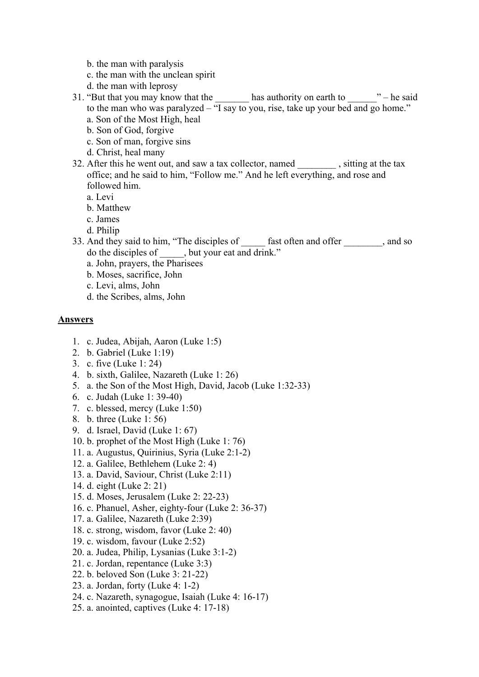- b. the man with paralysis
- c. the man with the unclean spirit
- d. the man with leprosy
- 31. "But that you may know that the  $\_\_\_\_\$  has authority on earth to  $\_\_\_\_\_\$  he said to the man who was paralyzed – "I say to you, rise, take up your bed and go home." a. Son of the Most High, heal
	- b. Son of God, forgive
	- c. Son of man, forgive sins
	- d. Christ, heal many
- 32. After this he went out, and saw a tax collector, named \_\_\_\_\_\_\_\_ , sitting at the tax office; and he said to him, "Follow me." And he left everything, and rose and followed him.
	- a. Levi
	- b. Matthew
	- c. James
	- d. Philip
- 33. And they said to him, "The disciples of fast often and offer , and so do the disciples of \_\_\_\_\_, but your eat and drink."
	- a. John, prayers, the Pharisees
	- b. Moses, sacrifice, John
	- c. Levi, alms, John
	- d. the Scribes, alms, John

## **Answers**

- 1. c. Judea, Abijah, Aaron (Luke 1:5)
- 2. b. Gabriel (Luke 1:19)
- 3. c. five (Luke 1: 24)
- 4. b. sixth, Galilee, Nazareth (Luke 1: 26)
- 5. a. the Son of the Most High, David, Jacob (Luke 1:32-33)
- 6. c. Judah (Luke 1: 39-40)
- 7. c. blessed, mercy (Luke 1:50)
- 8. b. three (Luke 1: 56)
- 9. d. Israel, David (Luke 1: 67)
- 10. b. prophet of the Most High (Luke 1: 76)
- 11. a. Augustus, Quirinius, Syria (Luke 2:1-2)
- 12. a. Galilee, Bethlehem (Luke 2: 4)
- 13. a. David, Saviour, Christ (Luke 2:11)
- 14. d. eight (Luke 2: 21)
- 15. d. Moses, Jerusalem (Luke 2: 22-23)
- 16. c. Phanuel, Asher, eighty-four (Luke 2: 36-37)
- 17. a. Galilee, Nazareth (Luke 2:39)
- 18. c. strong, wisdom, favor (Luke 2: 40)
- 19. c. wisdom, favour (Luke 2:52)
- 20. a. Judea, Philip, Lysanias (Luke 3:1-2)
- 21. c. Jordan, repentance (Luke 3:3)
- 22. b. beloved Son (Luke 3: 21-22)
- 23. a. Jordan, forty (Luke 4: 1-2)
- 24. c. Nazareth, synagogue, Isaiah (Luke 4: 16-17)
- 25. a. anointed, captives (Luke 4: 17-18)